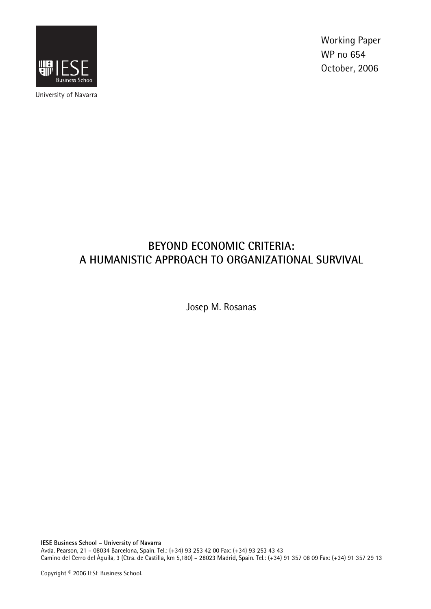

University of Navarra

Working Paper WP no 654 October, 2006

# **BEYOND ECONOMIC CRITERIA: A HUMANISTIC APPROACH TO ORGANIZATIONAL SURVIVAL**

Josep M. Rosanas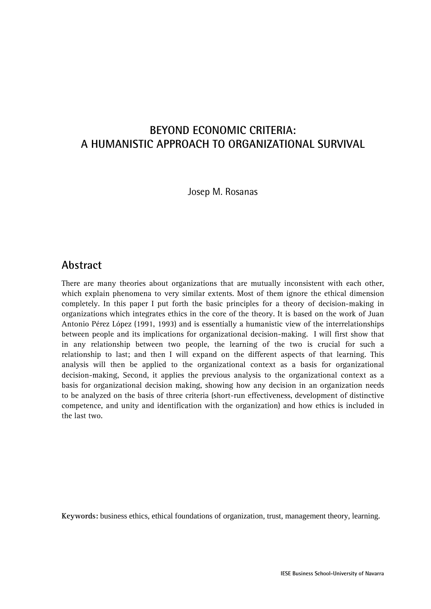# **BEYOND ECONOMIC CRITERIA: A HUMANISTIC APPROACH TO ORGANIZATIONAL SURVIVAL**

Josep M. Rosanas

### **Abstract**

There are many theories about organizations that are mutually inconsistent with each other, which explain phenomena to very similar extents. Most of them ignore the ethical dimension completely. In this paper I put forth the basic principles for a theory of decision-making in organizations which integrates ethics in the core of the theory. It is based on the work of Juan Antonio Pérez López (1991, 1993) and is essentially a humanistic view of the interrelationships between people and its implications for organizational decision-making. I will first show that in any relationship between two people, the learning of the two is crucial for such a relationship to last; and then I will expand on the different aspects of that learning. This analysis will then be applied to the organizational context as a basis for organizational decision-making, Second, it applies the previous analysis to the organizational context as a basis for organizational decision making, showing how any decision in an organization needs to be analyzed on the basis of three criteria (short-run effectiveness, development of distinctive competence, and unity and identification with the organization) and how ethics is included in the last two.

**Keywords:** business ethics, ethical foundations of organization, trust, management theory, learning.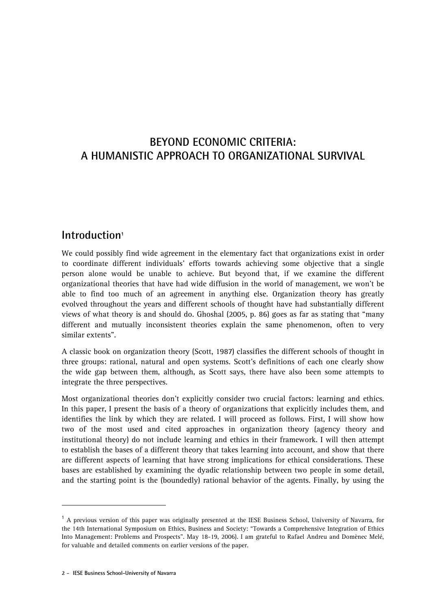# **BEYOND ECONOMIC CRITERIA: A HUMANISTIC APPROACH TO ORGANIZATIONAL SURVIVAL**

### **Introduction**<sup>1</sup>

We could possibly find wide agreement in the elementary fact that organizations exist in order to coordinate different individuals' efforts towards achieving some objective that a single person alone would be unable to achieve. But beyond that, if we examine the different organizational theories that have had wide diffusion in the world of management, we won't be able to find too much of an agreement in anything else. Organization theory has greatly evolved throughout the years and different schools of thought have had substantially different views of what theory is and should do. Ghoshal (2005, p. 86) goes as far as stating that "many different and mutually inconsistent theories explain the same phenomenon, often to very similar extents".

A classic book on organization theory (Scott, 1987) classifies the different schools of thought in three groups: rational, natural and open systems. Scott's definitions of each one clearly show the wide gap between them, although, as Scott says, there have also been some attempts to integrate the three perspectives.

Most organizational theories don't explicitly consider two crucial factors: learning and ethics. In this paper, I present the basis of a theory of organizations that explicitly includes them, and identifies the link by which they are related. I will proceed as follows. First, I will show how two of the most used and cited approaches in organization theory (agency theory and institutional theory) do not include learning and ethics in their framework. I will then attempt to establish the bases of a different theory that takes learning into account, and show that there are different aspects of learning that have strong implications for ethical considerations. These bases are established by examining the dyadic relationship between two people in some detail, and the starting point is the (boundedly) rational behavior of the agents. Finally, by using the

j

<sup>&</sup>lt;sup>1</sup> A previous version of this paper was originally presented at the IESE Business School, University of Navarra, for the 14th International Symposium on Ethics, Business and Society: "Towards a Comprehensive Integration of Ethics Into Management: Problems and Prospects". May 18-19, 2006). I am grateful to Rafael Andreu and Domènec Melé, for valuable and detailed comments on earlier versions of the paper.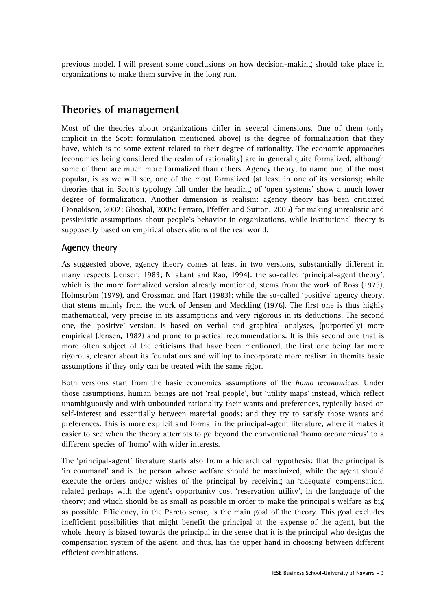previous model, I will present some conclusions on how decision-making should take place in organizations to make them survive in the long run.

### **Theories of management**

Most of the theories about organizations differ in several dimensions. One of them (only implicit in the Scott formulation mentioned above) is the degree of formalization that they have, which is to some extent related to their degree of rationality. The economic approaches (economics being considered the realm of rationality) are in general quite formalized, although some of them are much more formalized than others. Agency theory, to name one of the most popular, is as we will see, one of the most formalized (at least in one of its versions); while theories that in Scott's typology fall under the heading of 'open systems' show a much lower degree of formalization. Another dimension is realism: agency theory has been criticized (Donaldson, 2002; Ghoshal, 2005; Ferraro, Pfeffer and Sutton, 2005) for making unrealistic and pessimistic assumptions about people's behavior in organizations, while institutional theory is supposedly based on empirical observations of the real world.

#### **Agency theory**

As suggested above, agency theory comes at least in two versions, substantially different in many respects (Jensen, 1983; Nilakant and Rao, 1994): the so-called 'principal-agent theory', which is the more formalized version already mentioned, stems from the work of Ross (1973), Holmström (1979), and Grossman and Hart (1983); while the so-called 'positive' agency theory, that stems mainly from the work of Jensen and Meckling (1976). The first one is thus highly mathematical, very precise in its assumptions and very rigorous in its deductions. The second one, the 'positive' version, is based on verbal and graphical analyses, (purportedly) more empirical (Jensen, 1982) and prone to practical recommendations. It is this second one that is more often subject of the criticisms that have been mentioned, the first one being far more rigorous, clearer about its foundations and willing to incorporate more realism in themits basic assumptions if they only can be treated with the same rigor.

Both versions start from the basic economics assumptions of the *homo œconomicus*. Under those assumptions, human beings are not 'real people', but 'utility maps' instead, which reflect unambiguously and with unbounded rationality their wants and preferences, typically based on self-interest and essentially between material goods; and they try to satisfy those wants and preferences. This is more explicit and formal in the principal-agent literature, where it makes it easier to see when the theory attempts to go beyond the conventional 'homo œconomicus' to a different species of 'homo' with wider interests.

The 'principal-agent' literature starts also from a hierarchical hypothesis: that the principal is 'in command' and is the person whose welfare should be maximized, while the agent should execute the orders and/or wishes of the principal by receiving an 'adequate' compensation, related perhaps with the agent's opportunity cost 'reservation utility', in the language of the theory; and which should be as small as possible in order to make the principal's welfare as big as possible. Efficiency, in the Pareto sense, is the main goal of the theory. This goal excludes inefficient possibilities that might benefit the principal at the expense of the agent, but the whole theory is biased towards the principal in the sense that it is the principal who designs the compensation system of the agent, and thus, has the upper hand in choosing between different efficient combinations.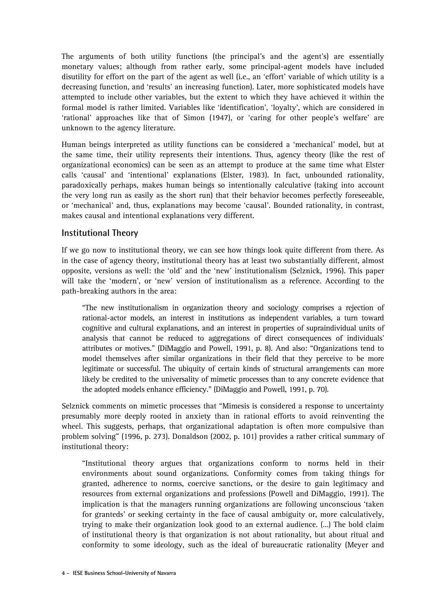The arguments of both utility functions (the principal's and the agent's) are essentially monetary values; although from rather early, some principal-agent models have included disutility for effort on the part of the agent as well (i.e., an 'effort' variable of which utility is a decreasing function, and 'results' an increasing function). Later, more sophisticated models have attempted to include other variables, but the extent to which they have achieved it within the formal model is rather limited. Variables like 'identification', 'loyalty', which are considered in 'rational' approaches like that of Simon (1947), or 'caring for other people's welfare' are unknown to the agency literature.

Human beings interpreted as utility functions can be considered a 'mechanical' model, but at the same time, their utility represents their intentions. Thus, agency theory (like the rest of organizational economics) can be seen as an attempt to produce at the same time what Elster calls 'causal' and 'intentional' explanations (Elster, 1983). In fact, unbounded rationality, paradoxically perhaps, makes human beings so intentionally calculative (taking into account the very long run as easily as the short run) that their behavior becomes perfectly foreseeable, or 'mechanical' and, thus, explanations may become 'causal'. Bounded rationality, in contrast, makes causal and intentional explanations very different.

#### **Institutional Theory**

If we go now to institutional theory, we can see how things look quite different from there. As in the case of agency theory, institutional theory has at least two substantially different, almost opposite, versions as well: the 'old' and the 'new' institutionalism (Selznick, 1996). This paper will take the 'modern', or 'new' version of institutionalism as a reference. According to the path-breaking authors in the area:

"The new institutionalism in organization theory and sociology comprises a rejection of rational-actor models, an interest in institutions as independent variables, a turn toward cognitive and cultural explanations, and an interest in properties of supraindividual units of analysis that cannot be reduced to aggregations of direct consequences of individuals' attributes or motives." (DiMaggio and Powell, 1991, p. 8). And also: "Organizations tend to model themselves after similar organizations in their field that they perceive to be more legitimate or successful. The ubiquity of certain kinds of structural arrangements can more likely be credited to the universality of mimetic processes than to any concrete evidence that the adopted models enhance efficiency." (DiMaggio and Powell, 1991, p. 70).

Selznick comments on mimetic processes that "Mimesis is considered a response to uncertainty presumably more deeply rooted in anxiety than in rational efforts to avoid reinventing the wheel. This suggests, perhaps, that organizational adaptation is often more compulsive than problem solving" (1996, p. 273). Donaldson (2002, p. 101) provides a rather critical summary of institutional theory:

"Institutional theory argues that organizations conform to norms held in their environments about sound organizations. Conformity comes from taking things for granted, adherence to norms, coercive sanctions, or the desire to gain legitimacy and resources from external organizations and professions (Powell and DiMaggio, 1991). The implication is that the managers running organizations are following unconscious 'taken for granteds' or seeking certainty in the face of causal ambiguity or, more calculatively, trying to make their organization look good to an external audience. (…) The bold claim of institutional theory is that organization is not about rationality, but about ritual and conformity to some ideology, such as the ideal of bureaucratic rationality (Meyer and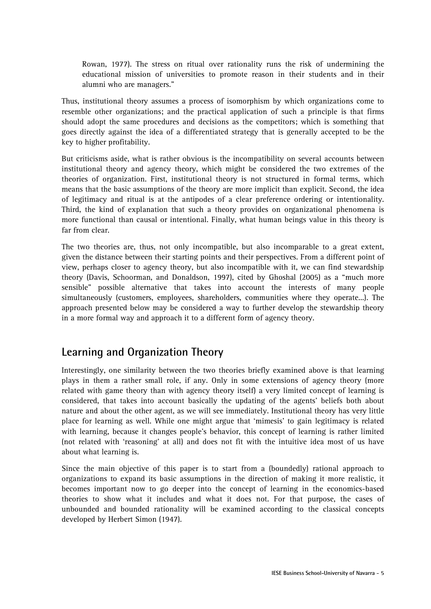Rowan, 1977). The stress on ritual over rationality runs the risk of undermining the educational mission of universities to promote reason in their students and in their alumni who are managers."

Thus, institutional theory assumes a process of isomorphism by which organizations come to resemble other organizations; and the practical application of such a principle is that firms should adopt the same procedures and decisions as the competitors; which is something that goes directly against the idea of a differentiated strategy that is generally accepted to be the key to higher profitability.

But criticisms aside, what is rather obvious is the incompatibility on several accounts between institutional theory and agency theory, which might be considered the two extremes of the theories of organization. First, institutional theory is not structured in formal terms, which means that the basic assumptions of the theory are more implicit than explicit. Second, the idea of legitimacy and ritual is at the antipodes of a clear preference ordering or intentionality. Third, the kind of explanation that such a theory provides on organizational phenomena is more functional than causal or intentional. Finally, what human beings value in this theory is far from clear.

The two theories are, thus, not only incompatible, but also incomparable to a great extent, given the distance between their starting points and their perspectives. From a different point of view, perhaps closer to agency theory, but also incompatible with it, we can find stewardship theory (Davis, Schoorman, and Donaldson, 1997), cited by Ghoshal (2005) as a "much more sensible" possible alternative that takes into account the interests of many people simultaneously (customers, employees, shareholders, communities where they operate...). The approach presented below may be considered a way to further develop the stewardship theory in a more formal way and approach it to a different form of agency theory.

### **Learning and Organization Theory**

Interestingly, one similarity between the two theories briefly examined above is that learning plays in them a rather small role, if any. Only in some extensions of agency theory (more related with game theory than with agency theory itself) a very limited concept of learning is considered, that takes into account basically the updating of the agents' beliefs both about nature and about the other agent, as we will see immediately. Institutional theory has very little place for learning as well. While one might argue that 'mimesis' to gain legitimacy is related with learning, because it changes people's behavior, this concept of learning is rather limited (not related with 'reasoning' at all) and does not fit with the intuitive idea most of us have about what learning is.

Since the main objective of this paper is to start from a (boundedly) rational approach to organizations to expand its basic assumptions in the direction of making it more realistic, it becomes important now to go deeper into the concept of learning in the economics-based theories to show what it includes and what it does not. For that purpose, the cases of unbounded and bounded rationality will be examined according to the classical concepts developed by Herbert Simon (1947).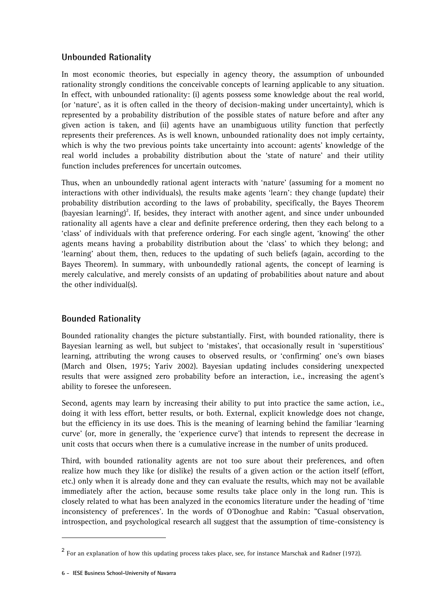#### **Unbounded Rationality**

In most economic theories, but especially in agency theory, the assumption of unbounded rationality strongly conditions the conceivable concepts of learning applicable to any situation. In effect, with unbounded rationality: (i) agents possess some knowledge about the real world, (or 'nature', as it is often called in the theory of decision-making under uncertainty), which is represented by a probability distribution of the possible states of nature before and after any given action is taken, and (ii) agents have an unambiguous utility function that perfectly represents their preferences. As is well known, unbounded rationality does not imply certainty, which is why the two previous points take uncertainty into account: agents' knowledge of the real world includes a probability distribution about the 'state of nature' and their utility function includes preferences for uncertain outcomes.

Thus, when an unboundedly rational agent interacts with 'nature' (assuming for a moment no interactions with other individuals), the results make agents 'learn': they change (update) their probability distribution according to the laws of probability, specifically, the Bayes Theorem (bayesian learning)<sup>2</sup>. If, besides, they interact with another agent, and since under unbounded rationality all agents have a clear and definite preference ordering, then they each belong to a 'class' of individuals with that preference ordering. For each single agent, 'knowing' the other agents means having a probability distribution about the 'class' to which they belong; and 'learning' about them, then, reduces to the updating of such beliefs (again, according to the Bayes Theorem). In summary, with unboundedly rational agents, the concept of learning is merely calculative, and merely consists of an updating of probabilities about nature and about the other individual(s).

### **Bounded Rationality**

Bounded rationality changes the picture substantially. First, with bounded rationality, there is Bayesian learning as well, but subject to 'mistakes', that occasionally result in 'superstitious' learning, attributing the wrong causes to observed results, or 'confirming' one's own biases (March and Olsen, 1975; Yariv 2002). Bayesian updating includes considering unexpected results that were assigned zero probability before an interaction, i.e., increasing the agent's ability to foresee the unforeseen.

Second, agents may learn by increasing their ability to put into practice the same action, i.e., doing it with less effort, better results, or both. External, explicit knowledge does not change, but the efficiency in its use does. This is the meaning of learning behind the familiar 'learning curve' (or, more in generally, the 'experience curve') that intends to represent the decrease in unit costs that occurs when there is a cumulative increase in the number of units produced.

Third, with bounded rationality agents are not too sure about their preferences, and often realize how much they like (or dislike) the results of a given action or the action itself (effort, etc.) only when it is already done and they can evaluate the results, which may not be available immediately after the action, because some results take place only in the long run. This is closely related to what has been analyzed in the economics literature under the heading of 'time inconsistency of preferences'. In the words of O'Donoghue and Rabin: "Casual observation, introspection, and psychological research all suggest that the assumption of time-consistency is

 $\overline{a}$ 

<sup>&</sup>lt;sup>2</sup> For an explanation of how this updating process takes place, see, for instance Marschak and Radner (1972).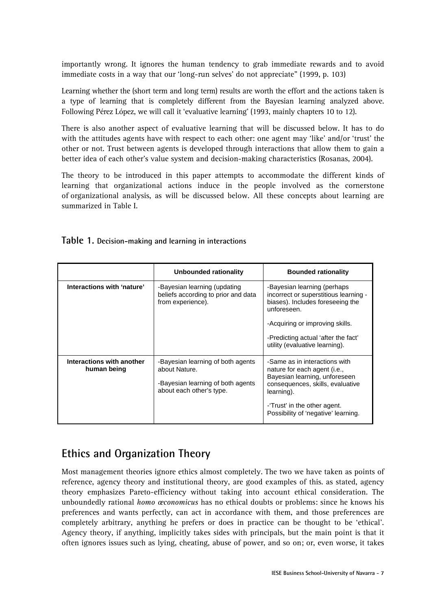importantly wrong. It ignores the human tendency to grab immediate rewards and to avoid immediate costs in a way that our 'long-run selves' do not appreciate" (1999, p. 103)

Learning whether the (short term and long term) results are worth the effort and the actions taken is a type of learning that is completely different from the Bayesian learning analyzed above. Following Pérez López, we will call it 'evaluative learning' (1993, mainly chapters 10 to 12).

There is also another aspect of evaluative learning that will be discussed below. It has to do with the attitudes agents have with respect to each other: one agent may 'like' and/or 'trust' the other or not. Trust between agents is developed through interactions that allow them to gain a better idea of each other's value system and decision-making characteristics (Rosanas, 2004).

The theory to be introduced in this paper attempts to accommodate the different kinds of learning that organizational actions induce in the people involved as the cornerstone of organizational analysis, as will be discussed below. All these concepts about learning are summarized in Table I.

|                                          | Unbounded rationality                                                                                               | <b>Bounded rationality</b>                                                                                                                       |
|------------------------------------------|---------------------------------------------------------------------------------------------------------------------|--------------------------------------------------------------------------------------------------------------------------------------------------|
| Interactions with 'nature'               | -Bayesian learning (updating<br>beliefs according to prior and data<br>from experience).                            | -Bayesian learning (perhaps<br>incorrect or superstitious learning -<br>biases). Includes foreseeing the<br>unforeseen.                          |
|                                          |                                                                                                                     | -Acquiring or improving skills.                                                                                                                  |
|                                          |                                                                                                                     | -Predicting actual 'after the fact'<br>utility (evaluative learning).                                                                            |
| Interactions with another<br>human being | -Bayesian learning of both agents<br>about Nature.<br>-Bayesian learning of both agents<br>about each other's type. | -Same as in interactions with<br>nature for each agent (i.e.,<br>Bayesian learning, unforeseen<br>consequences, skills, evaluative<br>learning). |
|                                          |                                                                                                                     | -'Trust' in the other agent.<br>Possibility of 'negative' learning.                                                                              |

#### **Table 1. Decision-making and learning in interactions**

# **Ethics and Organization Theory**

Most management theories ignore ethics almost completely. The two we have taken as points of reference, agency theory and institutional theory, are good examples of this. as stated, agency theory emphasizes Pareto-efficiency without taking into account ethical consideration. The unboundedly rational *homo œconomicus* has no ethical doubts or problems: since he knows his preferences and wants perfectly, can act in accordance with them, and those preferences are completely arbitrary, anything he prefers or does in practice can be thought to be 'ethical'. Agency theory, if anything, implicitly takes sides with principals, but the main point is that it often ignores issues such as lying, cheating, abuse of power, and so on; or, even worse, it takes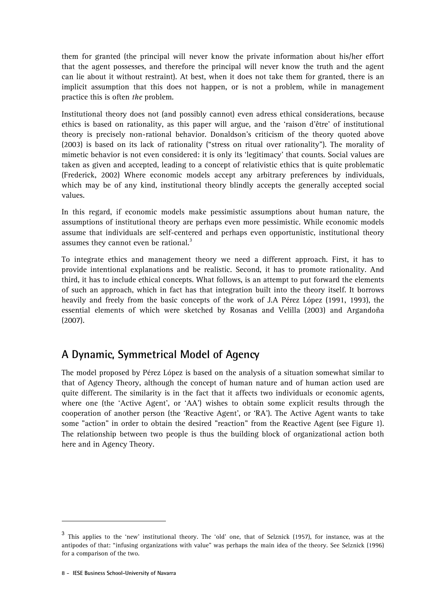them for granted (the principal will never know the private information about his/her effort that the agent possesses, and therefore the principal will never know the truth and the agent can lie about it without restraint). At best, when it does not take them for granted, there is an implicit assumption that this does not happen, or is not a problem, while in management practice this is often *the* problem.

Institutional theory does not (and possibly cannot) even adress ethical considerations, because ethics is based on rationality, as this paper will argue, and the 'raison d'être' of institutional theory is precisely non-rational behavior. Donaldson's criticism of the theory quoted above (2003) is based on its lack of rationality ("stress on ritual over rationality"). The morality of mimetic behavior is not even considered: it is only its 'legitimacy' that counts. Social values are taken as given and accepted, leading to a concept of relativistic ethics that is quite problematic (Frederick, 2002) Where economic models accept any arbitrary preferences by individuals, which may be of any kind, institutional theory blindly accepts the generally accepted social values.

In this regard, if economic models make pessimistic assumptions about human nature, the assumptions of institutional theory are perhaps even more pessimistic. While economic models assume that individuals are self-centered and perhaps even opportunistic, institutional theory assumes they cannot even be rational.<sup>3</sup>

To integrate ethics and management theory we need a different approach. First, it has to provide intentional explanations and be realistic. Second, it has to promote rationality. And third, it has to include ethical concepts. What follows, is an attempt to put forward the elements of such an approach, which in fact has that integration built into the theory itself. It borrows heavily and freely from the basic concepts of the work of J.A Pérez López (1991, 1993), the essential elements of which were sketched by Rosanas and Velilla (2003) and Argandoña (2007).

# **A Dynamic, Symmetrical Model of Agency**

The model proposed by Pérez López is based on the analysis of a situation somewhat similar to that of Agency Theory, although the concept of human nature and of human action used are quite different. The similarity is in the fact that it affects two individuals or economic agents, where one (the 'Active Agent', or 'AA') wishes to obtain some explicit results through the cooperation of another person (the 'Reactive Agent', or 'RA'). The Active Agent wants to take some "action" in order to obtain the desired "reaction" from the Reactive Agent (see Figure 1). The relationship between two people is thus the building block of organizational action both here and in Agency Theory.

-

<sup>3</sup> This applies to the 'new' institutional theory. The 'old' one, that of Selznick (1957), for instance, was at the antipodes of that: "infusing organizations with value" was perhaps the main idea of the theory. See Selznick (1996) for a comparison of the two.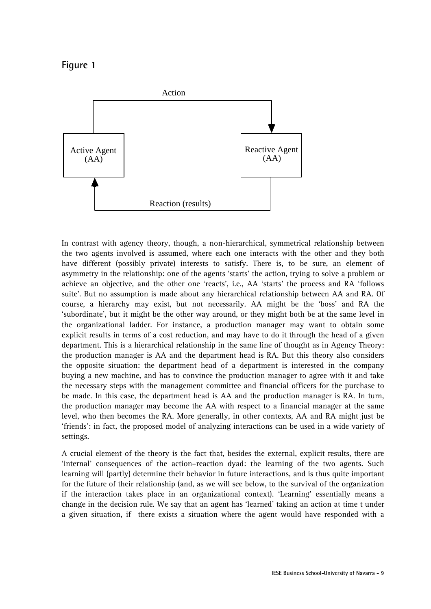#### **Figure 1**



In contrast with agency theory, though, a non-hierarchical, symmetrical relationship between the two agents involved is assumed, where each one interacts with the other and they both have different (possibly private) interests to satisfy. There is, to be sure, an element of asymmetry in the relationship: one of the agents 'starts' the action, trying to solve a problem or achieve an objective, and the other one 'reacts', i.e., AA 'starts' the process and RA 'follows suite'. But no assumption is made about any hierarchical relationship between AA and RA. Of course, a hierarchy may exist, but not necessarily. AA might be the 'boss' and RA the 'subordinate', but it might be the other way around, or they might both be at the same level in the organizational ladder. For instance, a production manager may want to obtain some explicit results in terms of a cost reduction, and may have to do it through the head of a given department. This is a hierarchical relationship in the same line of thought as in Agency Theory: the production manager is AA and the department head is RA. But this theory also considers the opposite situation: the department head of a department is interested in the company buying a new machine, and has to convince the production manager to agree with it and take the necessary steps with the management committee and financial officers for the purchase to be made. In this case, the department head is AA and the production manager is RA. In turn, the production manager may become the AA with respect to a financial manager at the same level, who then becomes the RA. More generally, in other contexts, AA and RA might just be 'friends': in fact, the proposed model of analyzing interactions can be used in a wide variety of settings.

A crucial element of the theory is the fact that, besides the external, explicit results, there are 'internal' consequences of the action–reaction dyad: the learning of the two agents. Such learning will (partly) determine their behavior in future interactions, and is thus quite important for the future of their relationship (and, as we will see below, to the survival of the organization if the interaction takes place in an organizational context). 'Learning' essentially means a change in the decision rule. We say that an agent has 'learned' taking an action at time t under a given situation, if there exists a situation where the agent would have responded with a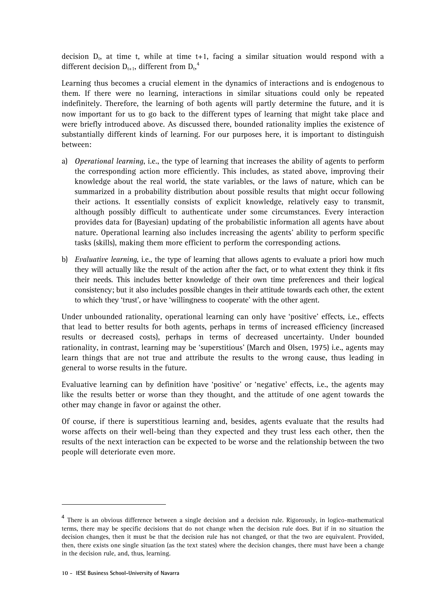decision  $D_t$ , at time t, while at time t+1, facing a similar situation would respond with a different decision  $D_{t+1}$ , different from  $D_t$ ,<sup>4</sup>

Learning thus becomes a crucial element in the dynamics of interactions and is endogenous to them. If there were no learning, interactions in similar situations could only be repeated indefinitely. Therefore, the learning of both agents will partly determine the future, and it is now important for us to go back to the different types of learning that might take place and were briefly introduced above. As discussed there, bounded rationality implies the existence of substantially different kinds of learning. For our purposes here, it is important to distinguish between:

- a) *Operational learning*, i.e., the type of learning that increases the ability of agents to perform the corresponding action more efficiently. This includes, as stated above, improving their knowledge about the real world, the state variables, or the laws of nature, which can be summarized in a probability distribution about possible results that might occur following their actions. It essentially consists of explicit knowledge, relatively easy to transmit, although possibly difficult to authenticate under some circumstances. Every interaction provides data for (Bayesian) updating of the probabilistic information all agents have about nature. Operational learning also includes increasing the agents' ability to perform specific tasks (skills), making them more efficient to perform the corresponding actions.
- b) *Evaluative learning*, i.e., the type of learning that allows agents to evaluate a priori how much they will actually like the result of the action after the fact, or to what extent they think it fits their needs. This includes better knowledge of their own time preferences and their logical consistency; but it also includes possible changes in their attitude towards each other, the extent to which they 'trust', or have 'willingness to cooperate' with the other agent.

Under unbounded rationality, operational learning can only have 'positive' effects, i.e., effects that lead to better results for both agents, perhaps in terms of increased efficiency (increased results or decreased costs), perhaps in terms of decreased uncertainty. Under bounded rationality, in contrast, learning may be 'superstitious' (March and Olsen, 1975) i.e., agents may learn things that are not true and attribute the results to the wrong cause, thus leading in general to worse results in the future.

Evaluative learning can by definition have 'positive' or 'negative' effects, i.e., the agents may like the results better or worse than they thought, and the attitude of one agent towards the other may change in favor or against the other.

Of course, if there is superstitious learning and, besides, agents evaluate that the results had worse affects on their well-being than they expected and they trust less each other, then the results of the next interaction can be expected to be worse and the relationship between the two people will deteriorate even more.

 $\overline{a}$ 

<sup>&</sup>lt;sup>4</sup> There is an obvious difference between a single decision and a decision rule. Rigorously, in logico-mathematical terms, there may be specific decisions that do not change when the decision rule does. But if in no situation the decision changes, then it must be that the decision rule has not changed, or that the two are equivalent. Provided, then, there exists one single situation (as the text states) where the decision changes, there must have been a change in the decision rule, and, thus, learning.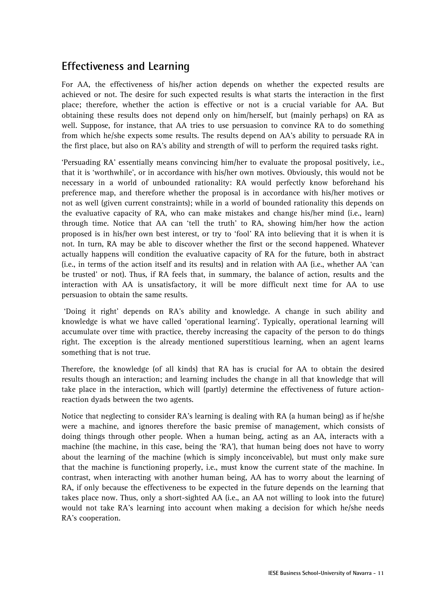# **Effectiveness and Learning**

For AA, the effectiveness of his/her action depends on whether the expected results are achieved or not. The desire for such expected results is what starts the interaction in the first place; therefore, whether the action is effective or not is a crucial variable for AA. But obtaining these results does not depend only on him/herself, but (mainly perhaps) on RA as well. Suppose, for instance, that AA tries to use persuasion to convince RA to do something from which he/she expects some results. The results depend on AA's ability to persuade RA in the first place, but also on RA's ability and strength of will to perform the required tasks right.

'Persuading RA' essentially means convincing him/her to evaluate the proposal positively, i.e., that it is 'worthwhile', or in accordance with his/her own motives. Obviously, this would not be necessary in a world of unbounded rationality: RA would perfectly know beforehand his preference map, and therefore whether the proposal is in accordance with his/her motives or not as well (given current constraints); while in a world of bounded rationality this depends on the evaluative capacity of RA, who can make mistakes and change his/her mind (i.e., learn) through time. Notice that AA can 'tell the truth' to RA, showing him/her how the action proposed is in his/her own best interest, or try to 'fool' RA into believing that it is when it is not. In turn, RA may be able to discover whether the first or the second happened. Whatever actually happens will condition the evaluative capacity of RA for the future, both in abstract (i.e., in terms of the action itself and its results) and in relation with AA (i.e., whether AA 'can be trusted' or not). Thus, if RA feels that, in summary, the balance of action, results and the interaction with AA is unsatisfactory, it will be more difficult next time for AA to use persuasion to obtain the same results.

 'Doing it right' depends on RA's ability and knowledge. A change in such ability and knowledge is what we have called 'operational learning'. Typically, operational learning will accumulate over time with practice, thereby increasing the capacity of the person to do things right. The exception is the already mentioned superstitious learning, when an agent learns something that is not true.

Therefore, the knowledge (of all kinds) that RA has is crucial for AA to obtain the desired results though an interaction; and learning includes the change in all that knowledge that will take place in the interaction, which will (partly) determine the effectiveness of future actionreaction dyads between the two agents.

Notice that neglecting to consider RA's learning is dealing with RA (a human being) as if he/she were a machine, and ignores therefore the basic premise of management, which consists of doing things through other people. When a human being, acting as an AA, interacts with a machine (the machine, in this case, being the 'RA'), that human being does not have to worry about the learning of the machine (which is simply inconceivable), but must only make sure that the machine is functioning properly, i.e., must know the current state of the machine. In contrast, when interacting with another human being, AA has to worry about the learning of RA, if only because the effectiveness to be expected in the future depends on the learning that takes place now. Thus, only a short-sighted AA (i.e., an AA not willing to look into the future) would not take RA's learning into account when making a decision for which he/she needs RA's cooperation.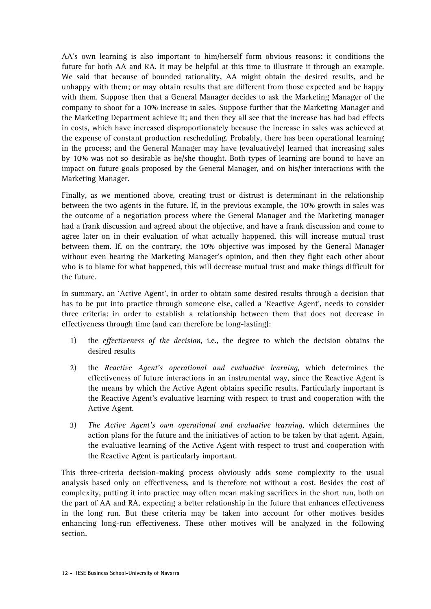AA's own learning is also important to him/herself form obvious reasons: it conditions the future for both AA and RA. It may be helpful at this time to illustrate it through an example. We said that because of bounded rationality, AA might obtain the desired results, and be unhappy with them; or may obtain results that are different from those expected and be happy with them. Suppose then that a General Manager decides to ask the Marketing Manager of the company to shoot for a 10% increase in sales. Suppose further that the Marketing Manager and the Marketing Department achieve it; and then they all see that the increase has had bad effects in costs, which have increased disproportionately because the increase in sales was achieved at the expense of constant production rescheduling. Probably, there has been operational learning in the process; and the General Manager may have (evaluatively) learned that increasing sales by 10% was not so desirable as he/she thought. Both types of learning are bound to have an impact on future goals proposed by the General Manager, and on his/her interactions with the Marketing Manager.

Finally, as we mentioned above, creating trust or distrust is determinant in the relationship between the two agents in the future. If, in the previous example, the 10% growth in sales was the outcome of a negotiation process where the General Manager and the Marketing manager had a frank discussion and agreed about the objective, and have a frank discussion and come to agree later on in their evaluation of what actually happened, this will increase mutual trust between them. If, on the contrary, the 10% objective was imposed by the General Manager without even hearing the Marketing Manager's opinion, and then they fight each other about who is to blame for what happened, this will decrease mutual trust and make things difficult for the future.

In summary, an 'Active Agent', in order to obtain some desired results through a decision that has to be put into practice through someone else, called a 'Reactive Agent', needs to consider three criteria: in order to establish a relationship between them that does not decrease in effectiveness through time (and can therefore be long-lasting):

- 1) the *effectiveness of the decision*, i.e., the degree to which the decision obtains the desired results
- 2) the *Reactive Agent's operational and evaluative learning*, which determines the effectiveness of future interactions in an instrumental way, since the Reactive Agent is the means by which the Active Agent obtains specific results. Particularly important is the Reactive Agent's evaluative learning with respect to trust and cooperation with the Active Agent.
- 3) *The Active Agent's own operational and evaluative learning*, which determines the action plans for the future and the initiatives of action to be taken by that agent. Again, the evaluative learning of the Active Agent with respect to trust and cooperation with the Reactive Agent is particularly important.

This three-criteria decision-making process obviously adds some complexity to the usual analysis based only on effectiveness, and is therefore not without a cost. Besides the cost of complexity, putting it into practice may often mean making sacrifices in the short run, both on the part of AA and RA, expecting a better relationship in the future that enhances effectiveness in the long run. But these criteria may be taken into account for other motives besides enhancing long-run effectiveness. These other motives will be analyzed in the following section.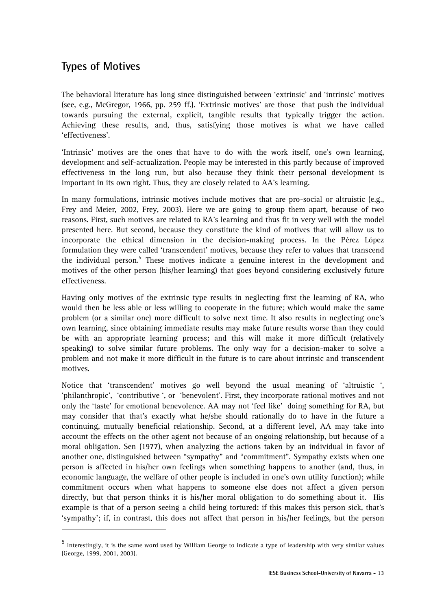# **Types of Motives**

 $\overline{a}$ 

The behavioral literature has long since distinguished between 'extrinsic' and 'intrinsic' motives (see, e.g., McGregor, 1966, pp. 259 ff.). 'Extrinsic motives' are those that push the individual towards pursuing the external, explicit, tangible results that typically trigger the action. Achieving these results, and, thus, satisfying those motives is what we have called 'effectiveness'.

'Intrinsic' motives are the ones that have to do with the work itself, one's own learning, development and self-actualization. People may be interested in this partly because of improved effectiveness in the long run, but also because they think their personal development is important in its own right. Thus, they are closely related to AA's learning.

In many formulations, intrinsic motives include motives that are pro-social or altruistic (e.g., Frey and Meier, 2002, Frey, 2003). Here we are going to group them apart, because of two reasons. First, such motives are related to RA's learning and thus fit in very well with the model presented here. But second, because they constitute the kind of motives that will allow us to incorporate the ethical dimension in the decision-making process. In the Pérez López formulation they were called 'transcendent' motives, because they refer to values that transcend the individual person.<sup>5</sup> These motives indicate a genuine interest in the development and motives of the other person (his/her learning) that goes beyond considering exclusively future effectiveness.

Having only motives of the extrinsic type results in neglecting first the learning of RA, who would then be less able or less willing to cooperate in the future; which would make the same problem (or a similar one) more difficult to solve next time. It also results in neglecting one's own learning, since obtaining immediate results may make future results worse than they could be with an appropriate learning process; and this will make it more difficult (relatively speaking) to solve similar future problems. The only way for a decision-maker to solve a problem and not make it more difficult in the future is to care about intrinsic and transcendent motives.

Notice that 'transcendent' motives go well beyond the usual meaning of 'altruistic ', 'philanthropic', 'contributive ', or 'benevolent'. First, they incorporate rational motives and not only the 'taste' for emotional benevolence. AA may not 'feel like' doing something for RA, but may consider that that's exactly what he/she should rationally do to have in the future a continuing, mutually beneficial relationship. Second, at a different level, AA may take into account the effects on the other agent not because of an ongoing relationship, but because of a moral obligation. Sen (1977), when analyzing the actions taken by an individual in favor of another one, distinguished between "sympathy" and "commitment". Sympathy exists when one person is affected in his/her own feelings when something happens to another (and, thus, in economic language, the welfare of other people is included in one's own utility function); while commitment occurs when what happens to someone else does not affect a given person directly, but that person thinks it is his/her moral obligation to do something about it. His example is that of a person seeing a child being tortured: if this makes this person sick, that's 'sympathy'; if, in contrast, this does not affect that person in his/her feelings, but the person

<sup>5</sup> Interestingly, it is the same word used by William George to indicate a type of leadership with very similar values (George, 1999, 2001, 2003).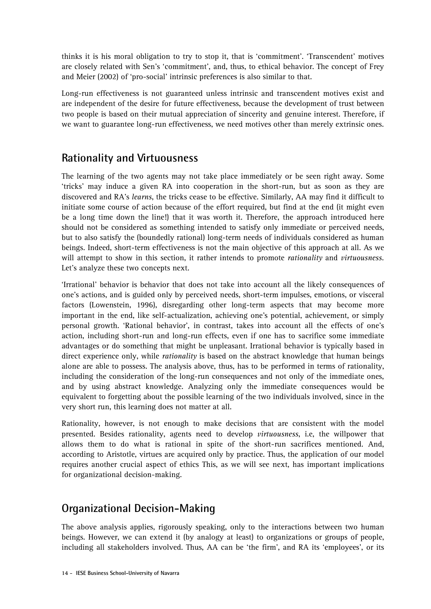thinks it is his moral obligation to try to stop it, that is 'commitment'. 'Transcendent' motives are closely related with Sen's 'commitment', and, thus, to ethical behavior. The concept of Frey and Meier (2002) of 'pro-social' intrinsic preferences is also similar to that.

Long-run effectiveness is not guaranteed unless intrinsic and transcendent motives exist and are independent of the desire for future effectiveness, because the development of trust between two people is based on their mutual appreciation of sincerity and genuine interest. Therefore, if we want to guarantee long-run effectiveness, we need motives other than merely extrinsic ones.

## **Rationality and Virtuousness**

The learning of the two agents may not take place immediately or be seen right away. Some 'tricks' may induce a given RA into cooperation in the short-run, but as soon as they are discovered and RA's *learns*, the tricks cease to be effective. Similarly, AA may find it difficult to initiate some course of action because of the effort required, but find at the end (it might even be a long time down the line!) that it was worth it. Therefore, the approach introduced here should not be considered as something intended to satisfy only immediate or perceived needs, but to also satisfy the (boundedly rational) long-term needs of individuals considered as human beings. Indeed, short-term effectiveness is not the main objective of this approach at all. As we will attempt to show in this section, it rather intends to promote *rationality* and *virtuousness*. Let's analyze these two concepts next.

'Irrational' behavior is behavior that does not take into account all the likely consequences of one's actions, and is guided only by perceived needs, short-term impulses, emotions, or visceral factors (Lowenstein, 1996), disregarding other long-term aspects that may become more important in the end, like self-actualization, achieving one's potential, achievement, or simply personal growth. 'Rational behavior', in contrast, takes into account all the effects of one's action, including short-run and long-run effects, even if one has to sacrifice some immediate advantages or do something that might be unpleasant. Irrational behavior is typically based in direct experience only, while *rationality* is based on the abstract knowledge that human beings alone are able to possess. The analysis above, thus, has to be performed in terms of rationality, including the consideration of the long-run consequences and not only of the immediate ones, and by using abstract knowledge. Analyzing only the immediate consequences would be equivalent to forgetting about the possible learning of the two individuals involved, since in the very short run, this learning does not matter at all.

Rationality, however, is not enough to make decisions that are consistent with the model presented. Besides rationality, agents need to develop *virtuousness*, i.e, the willpower that allows them to do what is rational in spite of the short-run sacrifices mentioned. And, according to Aristotle, virtues are acquired only by practice. Thus, the application of our model requires another crucial aspect of ethics This, as we will see next, has important implications for organizational decision-making.

# **Organizational Decision-Making**

The above analysis applies, rigorously speaking, only to the interactions between two human beings. However, we can extend it (by analogy at least) to organizations or groups of people, including all stakeholders involved. Thus, AA can be 'the firm', and RA its 'employees', or its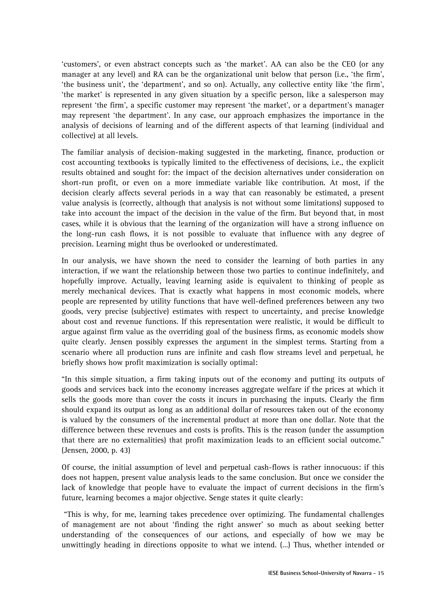'customers', or even abstract concepts such as 'the market'. AA can also be the CEO (or any manager at any level) and RA can be the organizational unit below that person (i.e., 'the firm', 'the business unit', the 'department', and so on). Actually, any collective entity like 'the firm', 'the market' is represented in any given situation by a specific person, like a salesperson may represent 'the firm', a specific customer may represent 'the market', or a department's manager may represent 'the department'. In any case, our approach emphasizes the importance in the analysis of decisions of learning and of the different aspects of that learning (individual and collective) at all levels.

The familiar analysis of decision-making suggested in the marketing, finance, production or cost accounting textbooks is typically limited to the effectiveness of decisions, i.e., the explicit results obtained and sought for: the impact of the decision alternatives under consideration on short-run profit, or even on a more immediate variable like contribution. At most, if the decision clearly affects several periods in a way that can reasonably be estimated, a present value analysis is (correctly, although that analysis is not without some limitations) supposed to take into account the impact of the decision in the value of the firm. But beyond that, in most cases, while it is obvious that the learning of the organization will have a strong influence on the long-run cash flows, it is not possible to evaluate that influence with any degree of precision. Learning might thus be overlooked or underestimated.

In our analysis, we have shown the need to consider the learning of both parties in any interaction, if we want the relationship between those two parties to continue indefinitely, and hopefully improve. Actually, leaving learning aside is equivalent to thinking of people as merely mechanical devices. That is exactly what happens in most economic models, where people are represented by utility functions that have well-defined preferences between any two goods, very precise (subjective) estimates with respect to uncertainty, and precise knowledge about cost and revenue functions. If this representation were realistic, it would be difficult to argue against firm value as the overriding goal of the business firms, as economic models show quite clearly. Jensen possibly expresses the argument in the simplest terms. Starting from a scenario where all production runs are infinite and cash flow streams level and perpetual, he briefly shows how profit maximization is socially optimal:

"In this simple situation, a firm taking inputs out of the economy and putting its outputs of goods and services back into the economy increases aggregate welfare if the prices at which it sells the goods more than cover the costs it incurs in purchasing the inputs. Clearly the firm should expand its output as long as an additional dollar of resources taken out of the economy is valued by the consumers of the incremental product at more than one dollar. Note that the difference between these revenues and costs is profits. This is the reason (under the assumption that there are no externalities) that profit maximization leads to an efficient social outcome." (Jensen, 2000, p. 43)

Of course, the initial assumption of level and perpetual cash-flows is rather innocuous: if this does not happen, present value analysis leads to the same conclusion. But once we consider the lack of knowledge that people have to evaluate the impact of current decisions in the firm's future, learning becomes a major objective. Senge states it quite clearly:

 "This is why, for me, learning takes precedence over optimizing. The fundamental challenges of management are not about 'finding the right answer' so much as about seeking better understanding of the consequences of our actions, and especially of how we may be unwittingly heading in directions opposite to what we intend. (…) Thus, whether intended or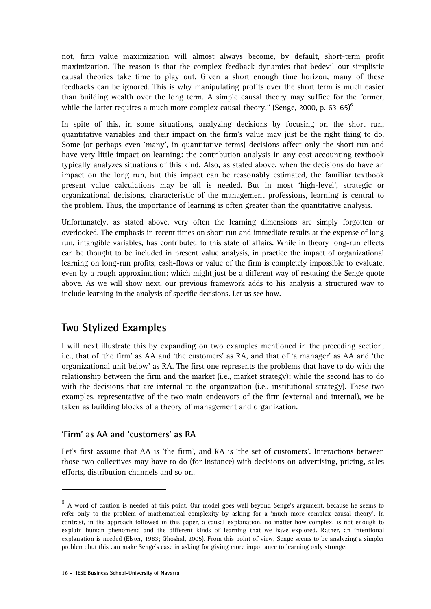not, firm value maximization will almost always become, by default, short-term profit maximization. The reason is that the complex feedback dynamics that bedevil our simplistic causal theories take time to play out. Given a short enough time horizon, many of these feedbacks can be ignored. This is why manipulating profits over the short term is much easier than building wealth over the long term. A simple causal theory may suffice for the former, while the latter requires a much more complex causal theory." (Senge, 2000, p. 63-65) $^6$ 

In spite of this, in some situations, analyzing decisions by focusing on the short run, quantitative variables and their impact on the firm's value may just be the right thing to do. Some (or perhaps even 'many', in quantitative terms) decisions affect only the short-run and have very little impact on learning: the contribution analysis in any cost accounting textbook typically analyzes situations of this kind. Also, as stated above, when the decisions do have an impact on the long run, but this impact can be reasonably estimated, the familiar textbook present value calculations may be all is needed. But in most 'high-level', strategic or organizational decisions, characteristic of the management professions, learning is central to the problem. Thus, the importance of learning is often greater than the quantitative analysis.

Unfortunately, as stated above, very often the learning dimensions are simply forgotten or overlooked. The emphasis in recent times on short run and immediate results at the expense of long run, intangible variables, has contributed to this state of affairs. While in theory long-run effects can be thought to be included in present value analysis, in practice the impact of organizational learning on long-run profits, cash-flows or value of the firm is completely impossible to evaluate, even by a rough approximation; which might just be a different way of restating the Senge quote above. As we will show next, our previous framework adds to his analysis a structured way to include learning in the analysis of specific decisions. Let us see how.

### **Two Stylized Examples**

I will next illustrate this by expanding on two examples mentioned in the preceding section, i.e., that of 'the firm' as AA and 'the customers' as RA, and that of 'a manager' as AA and 'the organizational unit below' as RA. The first one represents the problems that have to do with the relationship between the firm and the market (i.e., market strategy); while the second has to do with the decisions that are internal to the organization (i.e., institutional strategy). These two examples, representative of the two main endeavors of the firm (external and internal), we be taken as building blocks of a theory of management and organization.

#### **'Firm' as AA and 'customers' as RA**

Let's first assume that AA is 'the firm', and RA is 'the set of customers'. Interactions between those two collectives may have to do (for instance) with decisions on advertising, pricing, sales efforts, distribution channels and so on.

-

<sup>6</sup> A word of caution is needed at this point. Our model goes well beyond Senge's argument, because he seems to refer only to the problem of mathematical complexity by asking for a 'much more complex causal theory'. In contrast, in the approach followed in this paper, a causal explanation, no matter how complex, is not enough to explain human phenomena and the different kinds of learning that we have explored. Rather, an intentional explanation is needed (Elster, 1983; Ghoshal, 2005). From this point of view, Senge seems to be analyzing a simpler problem; but this can make Senge's case in asking for giving more importance to learning only stronger.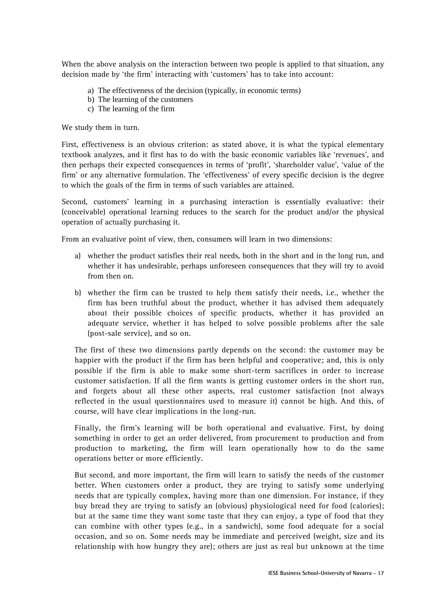When the above analysis on the interaction between two people is applied to that situation, any decision made by 'the firm' interacting with 'customers' has to take into account:

- a) The effectiveness of the decision (typically, in economic terms)
- b) The learning of the customers
- c) The learning of the firm

We study them in turn.

First, effectiveness is an obvious criterion: as stated above, it is what the typical elementary textbook analyzes, and it first has to do with the basic economic variables like 'revenues', and then perhaps their expected consequences in terms of 'profit', 'shareholder value', 'value of the firm' or any alternative formulation. The 'effectiveness' of every specific decision is the degree to which the goals of the firm in terms of such variables are attained.

Second, customers' learning in a purchasing interaction is essentially evaluative: their (conceivable) operational learning reduces to the search for the product and/or the physical operation of actually purchasing it.

From an evaluative point of view, then, consumers will learn in two dimensions:

- a) whether the product satisfies their real needs, both in the short and in the long run, and whether it has undesirable, perhaps unforeseen consequences that they will try to avoid from then on.
- b) whether the firm can be trusted to help them satisfy their needs, i.e., whether the firm has been truthful about the product, whether it has advised them adequately about their possible choices of specific products, whether it has provided an adequate service, whether it has helped to solve possible problems after the sale (post-sale service), and so on.

The first of these two dimensions partly depends on the second: the customer may be happier with the product if the firm has been helpful and cooperative; and, this is only possible if the firm is able to make some short-term sacrifices in order to increase customer satisfaction. If all the firm wants is getting customer orders in the short run, and forgets about all these other aspects, real customer satisfaction (not always reflected in the usual questionnaires used to measure it) cannot be high. And this, of course, will have clear implications in the long-run.

Finally, the firm's learning will be both operational and evaluative. First, by doing something in order to get an order delivered, from procurement to production and from production to marketing, the firm will learn operationally how to do the same operations better or more efficiently.

But second, and more important, the firm will learn to satisfy the needs of the customer better. When customers order a product, they are trying to satisfy some underlying needs that are typically complex, having more than one dimension. For instance, if they buy bread they are trying to satisfy an (obvious) physiological need for food (calories); but at the same time they want some taste that they can enjoy, a type of food that they can combine with other types (e.g., in a sandwich), some food adequate for a social occasion, and so on. Some needs may be immediate and perceived (weight, size and its relationship with how hungry they are); others are just as real but unknown at the time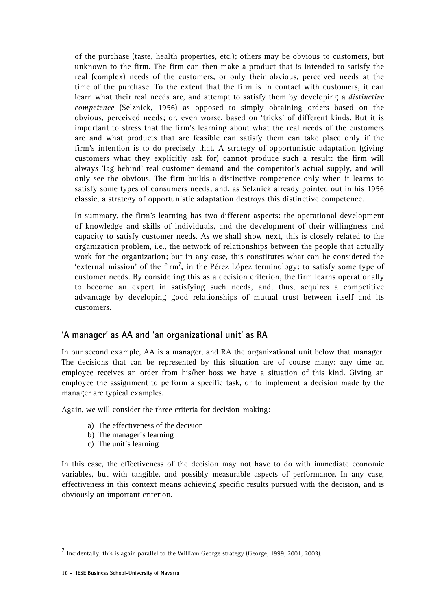of the purchase (taste, health properties, etc.); others may be obvious to customers, but unknown to the firm. The firm can then make a product that is intended to satisfy the real (complex) needs of the customers, or only their obvious, perceived needs at the time of the purchase. To the extent that the firm is in contact with customers, it can learn what their real needs are, and attempt to satisfy them by developing a *distinctive competence* (Selznick, 1956) as opposed to simply obtaining orders based on the obvious, perceived needs; or, even worse, based on 'tricks' of different kinds. But it is important to stress that the firm's learning about what the real needs of the customers are and what products that are feasible can satisfy them can take place only if the firm's intention is to do precisely that. A strategy of opportunistic adaptation (giving customers what they explicitly ask for) cannot produce such a result: the firm will always 'lag behind' real customer demand and the competitor's actual supply, and will only see the obvious. The firm builds a distinctive competence only when it learns to satisfy some types of consumers needs; and, as Selznick already pointed out in his 1956 classic, a strategy of opportunistic adaptation destroys this distinctive competence.

In summary, the firm's learning has two different aspects: the operational development of knowledge and skills of individuals, and the development of their willingness and capacity to satisfy customer needs. As we shall show next, this is closely related to the organization problem, i.e., the network of relationships between the people that actually work for the organization; but in any case, this constitutes what can be considered the 'external mission' of the firm<sup>7</sup>, in the Pérez López terminology: to satisfy some type of customer needs. By considering this as a decision criterion, the firm learns operationally to become an expert in satisfying such needs, and, thus, acquires a competitive advantage by developing good relationships of mutual trust between itself and its customers.

#### **'A manager' as AA and 'an organizational unit' as RA**

In our second example, AA is a manager, and RA the organizational unit below that manager. The decisions that can be represented by this situation are of course many: any time an employee receives an order from his/her boss we have a situation of this kind. Giving an employee the assignment to perform a specific task, or to implement a decision made by the manager are typical examples.

Again, we will consider the three criteria for decision-making:

- a) The effectiveness of the decision
- b) The manager's learning
- c) The unit's learning

In this case, the effectiveness of the decision may not have to do with immediate economic variables, but with tangible, and possibly measurable aspects of performance. In any case, effectiveness in this context means achieving specific results pursued with the decision, and is obviously an important criterion.

 $\overline{a}$ 

<sup>7</sup> Incidentally, this is again parallel to the William George strategy (George, 1999, 2001, 2003).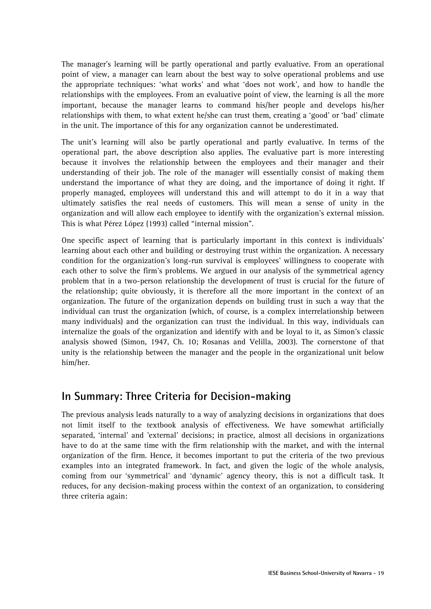The manager's learning will be partly operational and partly evaluative. From an operational point of view, a manager can learn about the best way to solve operational problems and use the appropriate techniques: 'what works' and what 'does not work', and how to handle the relationships with the employees. From an evaluative point of view, the learning is all the more important, because the manager learns to command his/her people and develops his/her relationships with them, to what extent he/she can trust them, creating a 'good' or 'bad' climate in the unit. The importance of this for any organization cannot be underestimated.

The unit's learning will also be partly operational and partly evaluative. In terms of the operational part, the above description also applies. The evaluative part is more interesting because it involves the relationship between the employees and their manager and their understanding of their job. The role of the manager will essentially consist of making them understand the importance of what they are doing, and the importance of doing it right. If properly managed, employees will understand this and will attempt to do it in a way that ultimately satisfies the real needs of customers. This will mean a sense of unity in the organization and will allow each employee to identify with the organization's external mission. This is what Pérez López (1993) called "internal mission".

One specific aspect of learning that is particularly important in this context is individuals' learning about each other and building or destroying trust within the organization. A necessary condition for the organization's long-run survival is employees' willingness to cooperate with each other to solve the firm's problems. We argued in our analysis of the symmetrical agency problem that in a two-person relationship the development of trust is crucial for the future of the relationship; quite obviously, it is therefore all the more important in the context of an organization. The future of the organization depends on building trust in such a way that the individual can trust the organization (which, of course, is a complex interrelationship between many individuals) and the organization can trust the individual. In this way, individuals can internalize the goals of the organization and identify with and be loyal to it, as Simon's classic analysis showed (Simon, 1947, Ch. 10; Rosanas and Velilla, 2003). The cornerstone of that unity is the relationship between the manager and the people in the organizational unit below him/her.

### **In Summary: Three Criteria for Decision-making**

The previous analysis leads naturally to a way of analyzing decisions in organizations that does not limit itself to the textbook analysis of effectiveness. We have somewhat artificially separated, 'internal' and 'external' decisions; in practice, almost all decisions in organizations have to do at the same time with the firm relationship with the market, and with the internal organization of the firm. Hence, it becomes important to put the criteria of the two previous examples into an integrated framework. In fact, and given the logic of the whole analysis, coming from our 'symmetrical' and 'dynamic' agency theory, this is not a difficult task. It reduces, for any decision-making process within the context of an organization, to considering three criteria again: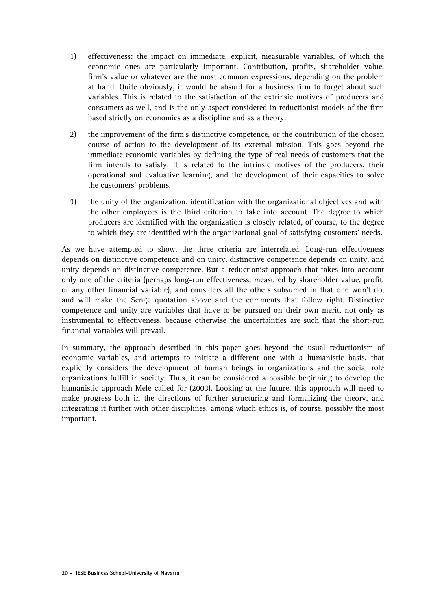- 1) effectiveness: the impact on immediate, explicit, measurable variables, of which the economic ones are particularly important. Contribution, profits, shareholder value, firm's value or whatever are the most common expressions, depending on the problem at hand. Quite obviously, it would be absurd for a business firm to forget about such variables. This is related to the satisfaction of the extrinsic motives of producers and consumers as well, and is the only aspect considered in reductionist models of the firm based strictly on economics as a discipline and as a theory.
- 2) the improvement of the firm's distinctive competence, or the contribution of the chosen course of action to the development of its external mission. This goes beyond the immediate economic variables by defining the type of real needs of customers that the firm intends to satisfy. It is related to the intrinsic motives of the producers, their operational and evaluative learning, and the development of their capacities to solve the customers' problems.
- 3) the unity of the organization: identification with the organizational objectives and with the other employees is the third criterion to take into account. The degree to which producers are identified with the organization is closely related, of course, to the degree to which they are identified with the organizational goal of satisfying customers' needs.

As we have attempted to show, the three criteria are interrelated. Long-run effectiveness depends on distinctive competence and on unity, distinctive competence depends on unity, and unity depends on distinctive competence. But a reductionist approach that takes into account only one of the criteria (perhaps long-run effectiveness, measured by shareholder value, profit, or any other financial variable), and considers all the others subsumed in that one won't do, and will make the Senge quotation above and the comments that follow right. Distinctive competence and unity are variables that have to be pursued on their own merit, not only as instrumental to effectiveness, because otherwise the uncertainties are such that the short-run financial variables will prevail.

In summary, the approach described in this paper goes beyond the usual reductionism of economic variables, and attempts to initiate a different one with a humanistic basis, that explicitly considers the development of human beings in organizations and the social role organizations fulfill in society. Thus, it can be considered a possible beginning to develop the humanistic approach Melé called for (2003). Looking at the future, this approach will need to make progress both in the directions of further structuring and formalizing the theory, and integrating it further with other disciplines, among which ethics is, of course, possibly the most important.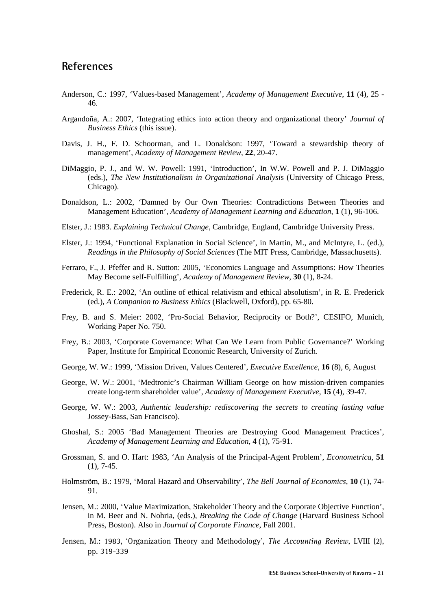#### **References**

- Anderson, C.: 1997, 'Values-based Management', *Academy of Management Executive*, **11** (4), 25 46.
- Argandoña, A.: 2007, 'Integrating ethics into action theory and organizational theory' *Journal of Business Ethics* (this issue).
- Davis, J. H., F. D. Schoorman, and L. Donaldson: 1997, 'Toward a stewardship theory of management', *Academy of Management Review*, **22**, 20-47.
- DiMaggio, P. J., and W. W. Powell: 1991, 'Introduction', In W.W. Powell and P. J. DiMaggio (eds.), *The New Institutionalism in Organizational Analysi*s (University of Chicago Press, Chicago).
- Donaldson, L.: 2002, 'Damned by Our Own Theories: Contradictions Between Theories and Management Education', *Academy of Management Learning and Education*, **1** (1), 96-106.
- Elster, J.: 1983. *Explaining Technical Change*, Cambridge, England, Cambridge University Press.
- Elster, J.: 1994, 'Functional Explanation in Social Science', in Martin, M., and McIntyre, L. (ed.), *Readings in the Philosophy of Social Sciences* (The MIT Press, Cambridge, Massachusetts).
- Ferraro, F., J. Pfeffer and R. Sutton: 2005, 'Economics Language and Assumptions: How Theories May Become self-Fulfilling', *Academy of Management Review*, **30** (1), 8-24.
- Frederick, R. E.: 2002, 'An outline of ethical relativism and ethical absolutism', in R. E. Frederick (ed.), *A Companion to Business Ethics* (Blackwell, Oxford), pp. 65-80.
- Frey, B. and S. Meier: 2002, 'Pro-Social Behavior, Reciprocity or Both?', CESIFO, Munich, Working Paper No. 750.
- Frey, B.: 2003, 'Corporate Governance: What Can We Learn from Public Governance?' Working Paper, Institute for Empirical Economic Research, University of Zurich.
- George, W. W.: 1999, 'Mission Driven, Values Centered', *Executive Excellence*, **16** (8), 6, August
- George, W. W.: 2001, 'Medtronic's Chairman William George on how mission-driven companies create long-term shareholder value', *Academy of Management Executive*, **15** (4), 39-47.
- George, W. W.: 2003, *Authentic leadership: rediscovering the secrets to creating lasting value* Jossey-Bass, San Francisco).
- Ghoshal, S.: 2005 'Bad Management Theories are Destroying Good Management Practices', *Academy of Management Learning and Education*, **4** (1), 75-91.
- Grossman, S. and O. Hart: 1983, 'An Analysis of the Principal-Agent Problem', *Econometrica*, **51** (1), 7-45.
- Holmström, B.: 1979, 'Moral Hazard and Observability', *The Bell Journal of Economics*, **10** (1), 74- 91.
- Jensen, M.: 2000, 'Value Maximization, Stakeholder Theory and the Corporate Objective Function', in M. Beer and N. Nohria, (eds.), *Breaking the Code of Change* (Harvard Business School Press, Boston). Also in *Journal of Corporate Finance*, Fall 2001.
- Jensen, M.: 1983, 'Organization Theory and Methodology', *The Accounting Review*, LVIII (2), pp. 319-339